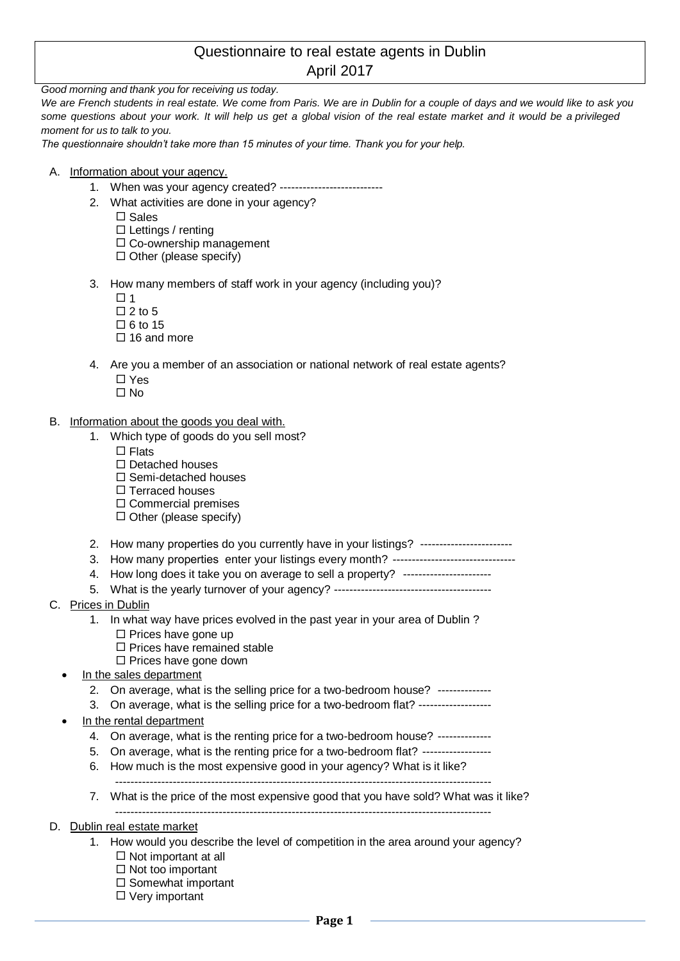## Questionnaire to real estate agents in Dublin April 2017

*Good morning and thank you for receiving us today.*

We are French students in real estate. We come from Paris. We are in Dublin for a couple of days and we would like to ask you *some questions about your work. It will help us get a global vision of the real estate market and it would be a privileged moment for us to talk to you.* 

*The questionnaire shouldn't take more than 15 minutes of your time. Thank you for your help.* 

- A. Information about your agency.
	- 1. When was your agency created? ---------------------------
	- 2. What activities are done in your agency?
		- $\square$  Sales
		- $\square$  Lettings / renting
		- $\Box$  Co-ownership management
		- $\Box$  Other (please specify)
	- 3. How many members of staff work in your agency (including you)?
		- $\Box$  1
		- $\Box$  2 to 5
		- $\Box$  6 to 15
		- $\Box$  16 and more
	- 4. Are you a member of an association or national network of real estate agents?
		- □ Yes
		- $\square$  No
- B. Information about the goods you deal with.
	- 1. Which type of goods do you sell most?
		- $\square$  Flats
			- $\Box$  Detached houses
		- $\square$  Semi-detached houses
		- $\Box$  Terraced houses
		- $\square$  Commercial premises
		- $\Box$  Other (please specify)
	- 2. How many properties do you currently have in your listings? -----------------------
	- 3. How many properties enter your listings every month? -------------------------------
	- 4. How long does it take you on average to sell a property? ---------------------
	- 5. What is the yearly turnover of your agency? -----------------------------------------
- C. Prices in Dublin
	- 1. In what way have prices evolved in the past year in your area of Dublin ?
		- $\square$  Prices have gone up
		- $\square$  Prices have remained stable
		- $\square$  Prices have gone down
	- In the sales department
		- 2. On average, what is the selling price for a two-bedroom house? --------------
		- 3. On average, what is the selling price for a two-bedroom flat? -----------------In the rental department
	- - 4. On average, what is the renting price for a two-bedroom house? --------------
		- 5. On average, what is the renting price for a two-bedroom flat? ------------------
		- 6. How much is the most expensive good in your agency? What is it like? --------------------------------------------------------------------------------------------------
		- 7. What is the price of the most expensive good that you have sold? What was it like?
			- --------------------------------------------------------------------------------------------------
- D. Dublin real estate market
	- 1. How would you describe the level of competition in the area around your agency?
		- $\Box$  Not important at all
		- $\Box$  Not too important
		- $\square$  Somewhat important  $\Box$  Very important
			-